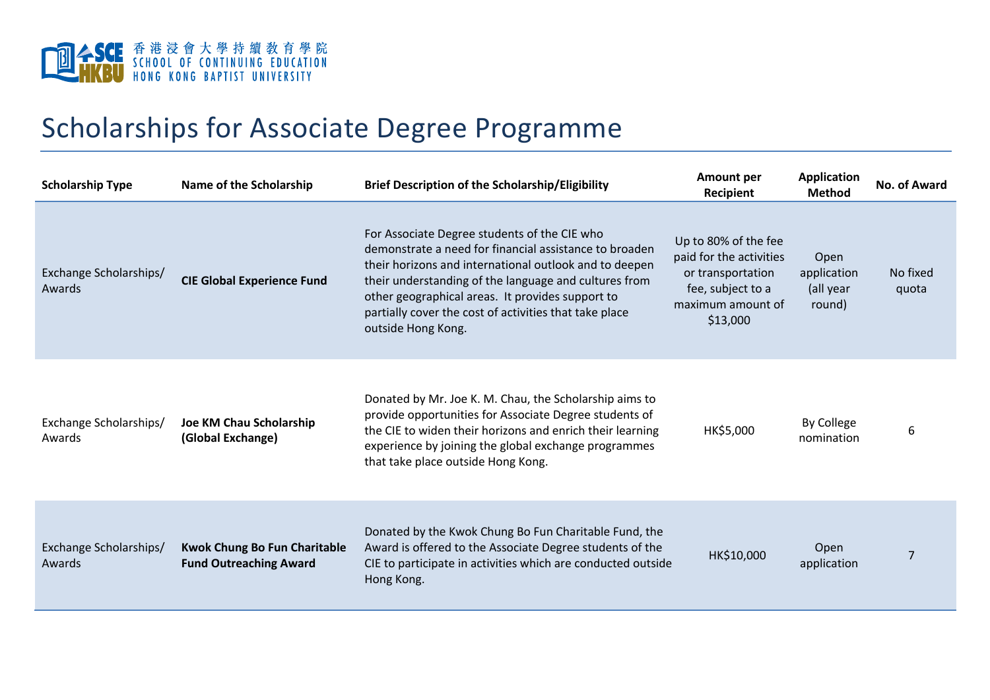

## Scholarships for Associate Degree Programme

| <b>Scholarship Type</b>          | Name of the Scholarship                                              | <b>Brief Description of the Scholarship/Eligibility</b>                                                                                                                                                                                                                                                                                                       | <b>Amount per</b><br>Recipient                                                                                             | <b>Application</b><br><b>Method</b>        | No. of Award      |
|----------------------------------|----------------------------------------------------------------------|---------------------------------------------------------------------------------------------------------------------------------------------------------------------------------------------------------------------------------------------------------------------------------------------------------------------------------------------------------------|----------------------------------------------------------------------------------------------------------------------------|--------------------------------------------|-------------------|
| Exchange Scholarships/<br>Awards | <b>CIE Global Experience Fund</b>                                    | For Associate Degree students of the CIE who<br>demonstrate a need for financial assistance to broaden<br>their horizons and international outlook and to deepen<br>their understanding of the language and cultures from<br>other geographical areas. It provides support to<br>partially cover the cost of activities that take place<br>outside Hong Kong. | Up to 80% of the fee<br>paid for the activities<br>or transportation<br>fee, subject to a<br>maximum amount of<br>\$13,000 | Open<br>application<br>(all year<br>round) | No fixed<br>quota |
| Exchange Scholarships/<br>Awards | Joe KM Chau Scholarship<br>(Global Exchange)                         | Donated by Mr. Joe K. M. Chau, the Scholarship aims to<br>provide opportunities for Associate Degree students of<br>the CIE to widen their horizons and enrich their learning<br>experience by joining the global exchange programmes<br>that take place outside Hong Kong.                                                                                   | HK\$5,000                                                                                                                  | By College<br>nomination                   | 6                 |
| Exchange Scholarships/<br>Awards | <b>Kwok Chung Bo Fun Charitable</b><br><b>Fund Outreaching Award</b> | Donated by the Kwok Chung Bo Fun Charitable Fund, the<br>Award is offered to the Associate Degree students of the<br>CIE to participate in activities which are conducted outside<br>Hong Kong.                                                                                                                                                               | HK\$10,000                                                                                                                 | Open<br>application                        | 7                 |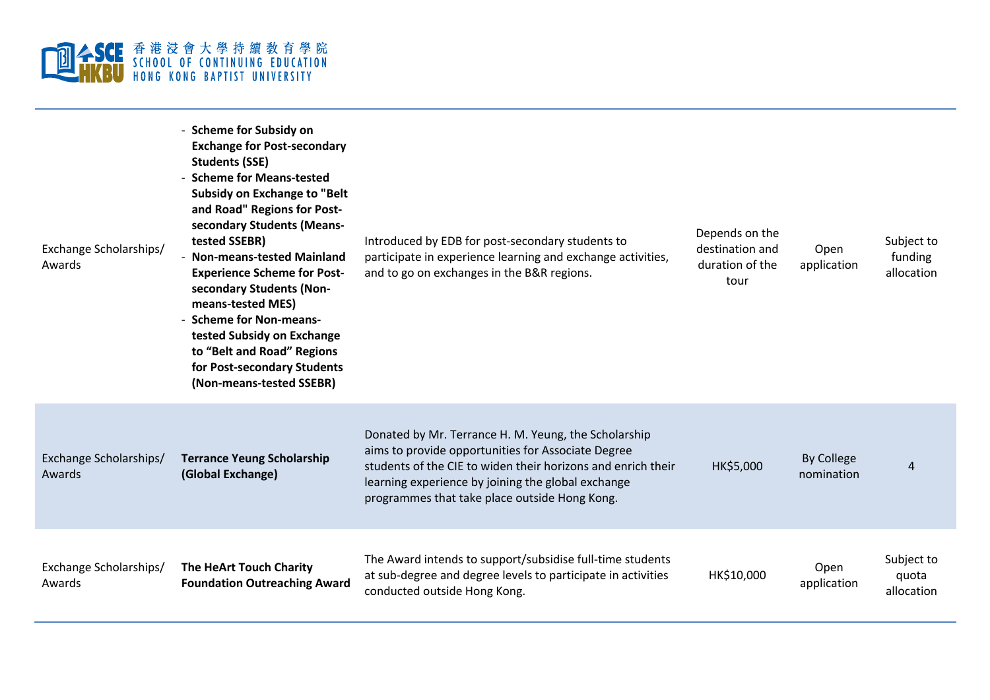

| Exchange Scholarships/<br>Awards | - Scheme for Subsidy on<br><b>Exchange for Post-secondary</b><br><b>Students (SSE)</b><br>- Scheme for Means-tested<br><b>Subsidy on Exchange to "Belt</b><br>and Road" Regions for Post-<br>secondary Students (Means-<br>tested SSEBR)<br><b>Non-means-tested Mainland</b><br><b>Experience Scheme for Post-</b><br>secondary Students (Non-<br>means-tested MES)<br>- Scheme for Non-means-<br>tested Subsidy on Exchange<br>to "Belt and Road" Regions<br>for Post-secondary Students<br>(Non-means-tested SSEBR) | Introduced by EDB for post-secondary students to<br>participate in experience learning and exchange activities,<br>and to go on exchanges in the B&R regions.                                                                                                                     | Depends on the<br>destination and<br>duration of the<br>tour | Open<br>application             | Subject to<br>funding<br>allocation |
|----------------------------------|-----------------------------------------------------------------------------------------------------------------------------------------------------------------------------------------------------------------------------------------------------------------------------------------------------------------------------------------------------------------------------------------------------------------------------------------------------------------------------------------------------------------------|-----------------------------------------------------------------------------------------------------------------------------------------------------------------------------------------------------------------------------------------------------------------------------------|--------------------------------------------------------------|---------------------------------|-------------------------------------|
| Exchange Scholarships/<br>Awards | <b>Terrance Yeung Scholarship</b><br>(Global Exchange)                                                                                                                                                                                                                                                                                                                                                                                                                                                                | Donated by Mr. Terrance H. M. Yeung, the Scholarship<br>aims to provide opportunities for Associate Degree<br>students of the CIE to widen their horizons and enrich their<br>learning experience by joining the global exchange<br>programmes that take place outside Hong Kong. | HK\$5,000                                                    | <b>By College</b><br>nomination | $\overline{4}$                      |
| Exchange Scholarships/<br>Awards | The HeArt Touch Charity<br><b>Foundation Outreaching Award</b>                                                                                                                                                                                                                                                                                                                                                                                                                                                        | The Award intends to support/subsidise full-time students<br>at sub-degree and degree levels to participate in activities<br>conducted outside Hong Kong.                                                                                                                         | HK\$10,000                                                   | Open<br>application             | Subject to<br>quota<br>allocation   |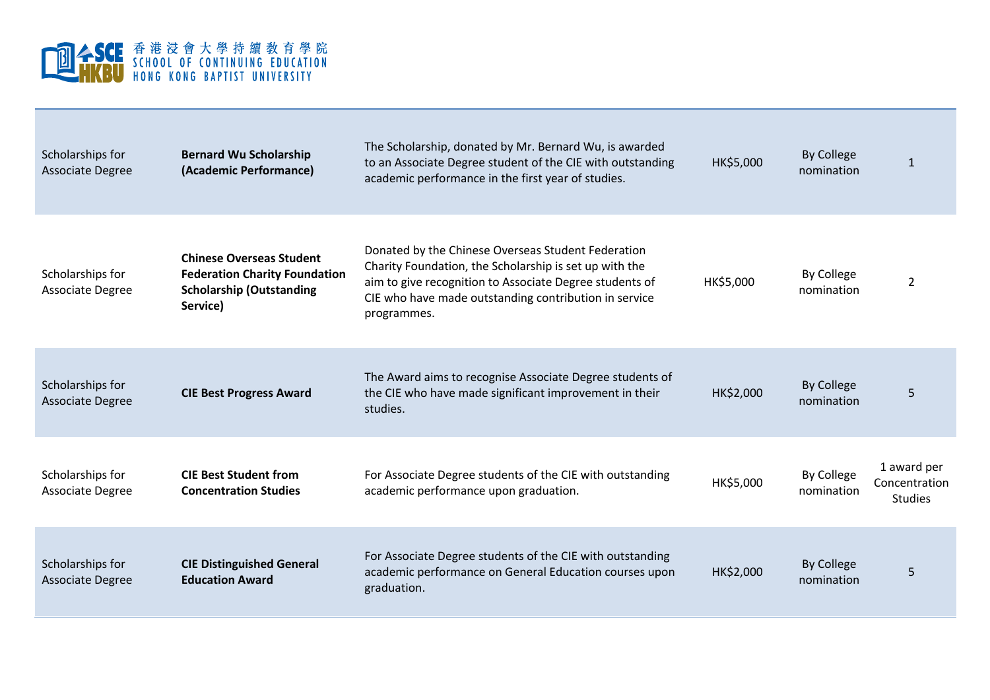

| Scholarships for<br><b>Associate Degree</b> | <b>Bernard Wu Scholarship</b><br>(Academic Performance)                                                                | The Scholarship, donated by Mr. Bernard Wu, is awarded<br>to an Associate Degree student of the CIE with outstanding<br>academic performance in the first year of studies.                                                                      | HK\$5,000 | <b>By College</b><br>nomination | $\mathbf{1}$                                   |
|---------------------------------------------|------------------------------------------------------------------------------------------------------------------------|-------------------------------------------------------------------------------------------------------------------------------------------------------------------------------------------------------------------------------------------------|-----------|---------------------------------|------------------------------------------------|
| Scholarships for<br>Associate Degree        | <b>Chinese Overseas Student</b><br><b>Federation Charity Foundation</b><br><b>Scholarship (Outstanding</b><br>Service) | Donated by the Chinese Overseas Student Federation<br>Charity Foundation, the Scholarship is set up with the<br>aim to give recognition to Associate Degree students of<br>CIE who have made outstanding contribution in service<br>programmes. | HK\$5,000 | <b>By College</b><br>nomination | $\overline{2}$                                 |
| Scholarships for<br><b>Associate Degree</b> | <b>CIE Best Progress Award</b>                                                                                         | The Award aims to recognise Associate Degree students of<br>the CIE who have made significant improvement in their<br>studies.                                                                                                                  | HK\$2,000 | <b>By College</b><br>nomination | 5                                              |
| Scholarships for<br>Associate Degree        | <b>CIE Best Student from</b><br><b>Concentration Studies</b>                                                           | For Associate Degree students of the CIE with outstanding<br>academic performance upon graduation.                                                                                                                                              | HK\$5,000 | By College<br>nomination        | 1 award per<br>Concentration<br><b>Studies</b> |
| Scholarships for<br><b>Associate Degree</b> | <b>CIE Distinguished General</b><br><b>Education Award</b>                                                             | For Associate Degree students of the CIE with outstanding<br>academic performance on General Education courses upon<br>graduation.                                                                                                              | HK\$2,000 | <b>By College</b><br>nomination | 5                                              |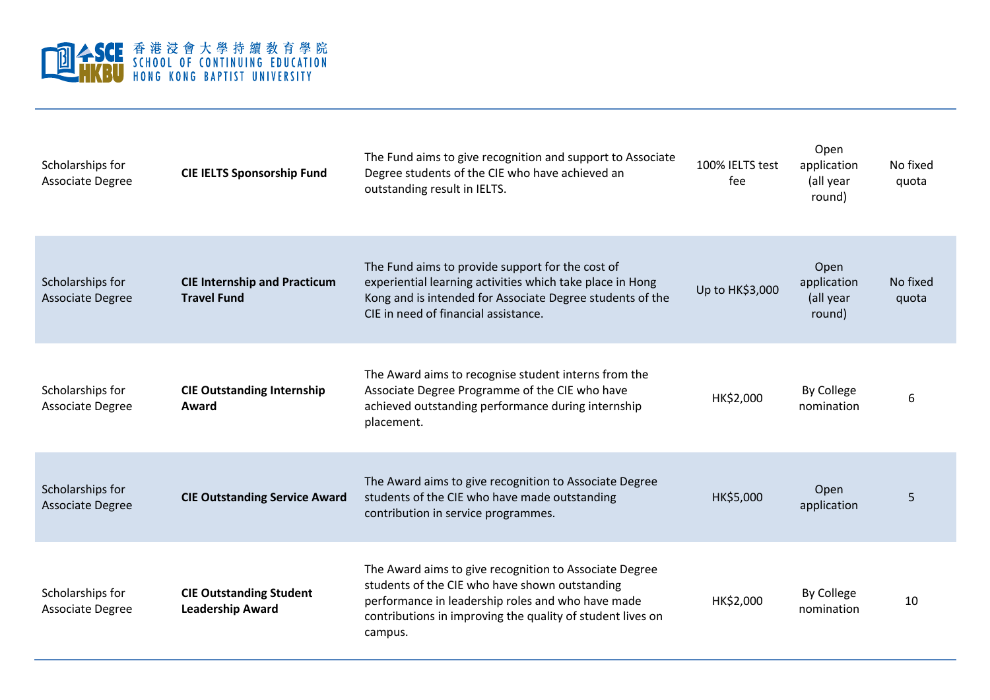

| Scholarships for<br><b>Associate Degree</b> | <b>CIE IELTS Sponsorship Fund</b>                         | The Fund aims to give recognition and support to Associate<br>Degree students of the CIE who have achieved an<br>outstanding result in IELTS.                                                                                          | 100% IELTS test<br>fee | Open<br>application<br>(all year<br>round) | No fixed<br>quota |
|---------------------------------------------|-----------------------------------------------------------|----------------------------------------------------------------------------------------------------------------------------------------------------------------------------------------------------------------------------------------|------------------------|--------------------------------------------|-------------------|
| Scholarships for<br><b>Associate Degree</b> | <b>CIE Internship and Practicum</b><br><b>Travel Fund</b> | The Fund aims to provide support for the cost of<br>experiential learning activities which take place in Hong<br>Kong and is intended for Associate Degree students of the<br>CIE in need of financial assistance.                     | Up to HK\$3,000        | Open<br>application<br>(all year<br>round) | No fixed<br>quota |
| Scholarships for<br><b>Associate Degree</b> | <b>CIE Outstanding Internship</b><br>Award                | The Award aims to recognise student interns from the<br>Associate Degree Programme of the CIE who have<br>achieved outstanding performance during internship<br>placement.                                                             | HK\$2,000              | <b>By College</b><br>nomination            | 6                 |
| Scholarships for<br><b>Associate Degree</b> | <b>CIE Outstanding Service Award</b>                      | The Award aims to give recognition to Associate Degree<br>students of the CIE who have made outstanding<br>contribution in service programmes.                                                                                         | HK\$5,000              | Open<br>application                        | 5                 |
| Scholarships for<br><b>Associate Degree</b> | <b>CIE Outstanding Student</b><br><b>Leadership Award</b> | The Award aims to give recognition to Associate Degree<br>students of the CIE who have shown outstanding<br>performance in leadership roles and who have made<br>contributions in improving the quality of student lives on<br>campus. | HK\$2,000              | <b>By College</b><br>nomination            | 10                |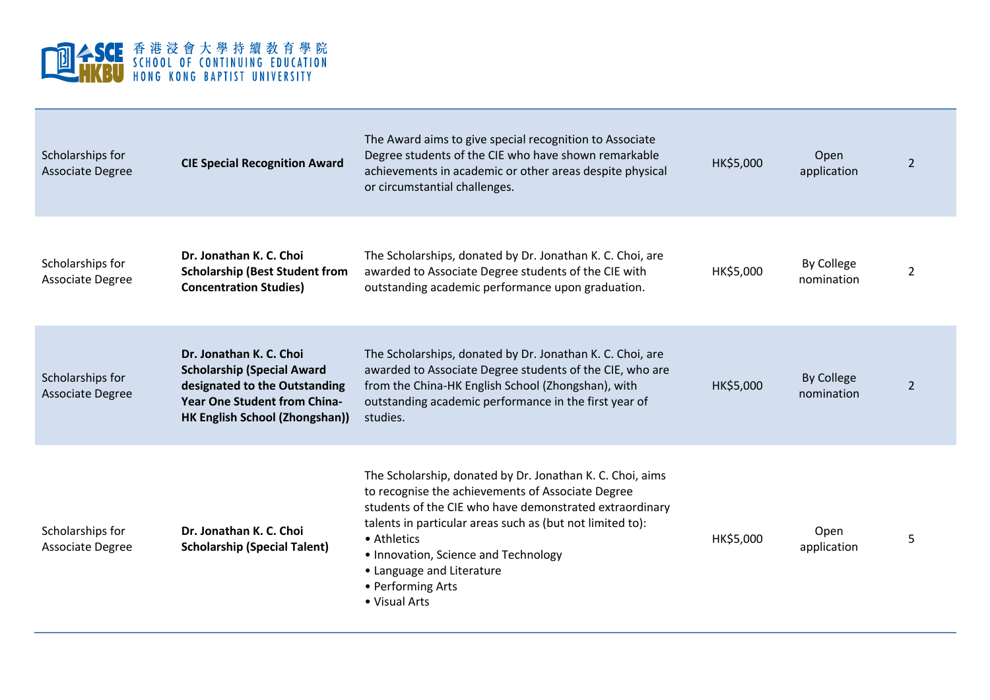

| Scholarships for<br><b>Associate Degree</b> | <b>CIE Special Recognition Award</b>                                                                                                                                          | The Award aims to give special recognition to Associate<br>Degree students of the CIE who have shown remarkable<br>achievements in academic or other areas despite physical<br>or circumstantial challenges.                                                                                                                                                     | HK\$5,000 | Open<br>application             | $\overline{2}$ |
|---------------------------------------------|-------------------------------------------------------------------------------------------------------------------------------------------------------------------------------|------------------------------------------------------------------------------------------------------------------------------------------------------------------------------------------------------------------------------------------------------------------------------------------------------------------------------------------------------------------|-----------|---------------------------------|----------------|
| Scholarships for<br>Associate Degree        | Dr. Jonathan K. C. Choi<br><b>Scholarship (Best Student from</b><br><b>Concentration Studies)</b>                                                                             | The Scholarships, donated by Dr. Jonathan K. C. Choi, are<br>awarded to Associate Degree students of the CIE with<br>outstanding academic performance upon graduation.                                                                                                                                                                                           | HK\$5,000 | <b>By College</b><br>nomination | $\overline{2}$ |
| Scholarships for<br><b>Associate Degree</b> | Dr. Jonathan K. C. Choi<br><b>Scholarship (Special Award</b><br>designated to the Outstanding<br><b>Year One Student from China-</b><br><b>HK English School (Zhongshan))</b> | The Scholarships, donated by Dr. Jonathan K. C. Choi, are<br>awarded to Associate Degree students of the CIE, who are<br>from the China-HK English School (Zhongshan), with<br>outstanding academic performance in the first year of<br>studies.                                                                                                                 | HK\$5,000 | <b>By College</b><br>nomination | $\overline{2}$ |
| Scholarships for<br><b>Associate Degree</b> | Dr. Jonathan K. C. Choi<br><b>Scholarship (Special Talent)</b>                                                                                                                | The Scholarship, donated by Dr. Jonathan K. C. Choi, aims<br>to recognise the achievements of Associate Degree<br>students of the CIE who have demonstrated extraordinary<br>talents in particular areas such as (but not limited to):<br>• Athletics<br>• Innovation, Science and Technology<br>• Language and Literature<br>• Performing Arts<br>• Visual Arts | HK\$5,000 | Open<br>application             | 5              |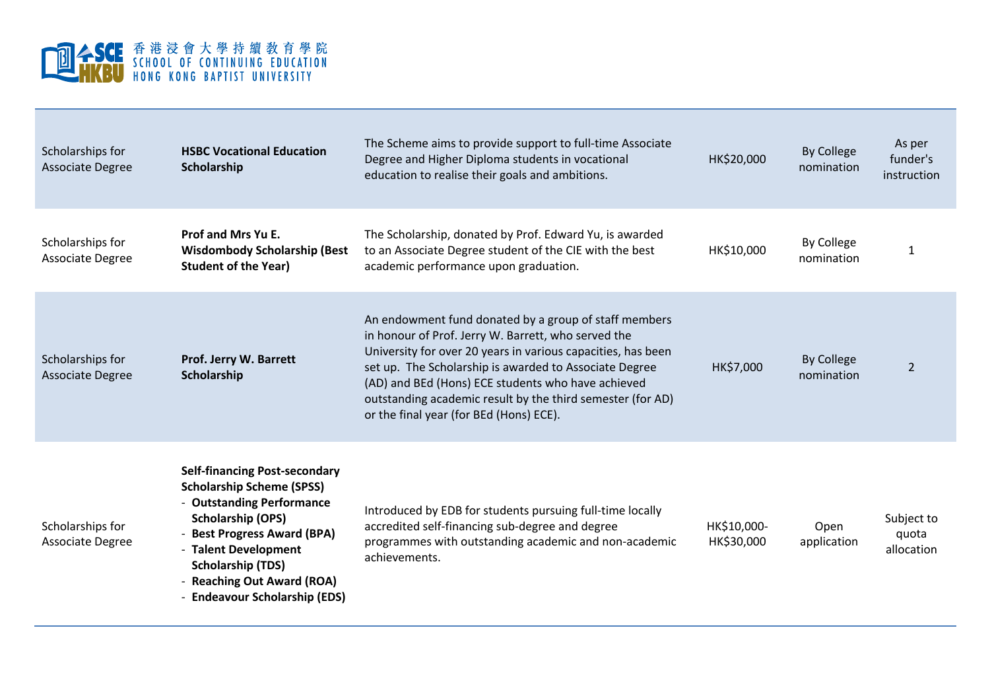

| Scholarships for<br><b>Associate Degree</b> | <b>HSBC Vocational Education</b><br>Scholarship                                                                                                                                                                                                                                     | The Scheme aims to provide support to full-time Associate<br>Degree and Higher Diploma students in vocational<br>education to realise their goals and ambitions.                                                                                                                                                                                                                                      | HK\$20,000                | <b>By College</b><br>nomination | As per<br>funder's<br>instruction |
|---------------------------------------------|-------------------------------------------------------------------------------------------------------------------------------------------------------------------------------------------------------------------------------------------------------------------------------------|-------------------------------------------------------------------------------------------------------------------------------------------------------------------------------------------------------------------------------------------------------------------------------------------------------------------------------------------------------------------------------------------------------|---------------------------|---------------------------------|-----------------------------------|
| Scholarships for<br>Associate Degree        | Prof and Mrs Yu E.<br><b>Wisdombody Scholarship (Best</b><br><b>Student of the Year)</b>                                                                                                                                                                                            | The Scholarship, donated by Prof. Edward Yu, is awarded<br>to an Associate Degree student of the CIE with the best<br>academic performance upon graduation.                                                                                                                                                                                                                                           | HK\$10,000                | By College<br>nomination        | 1                                 |
| Scholarships for<br><b>Associate Degree</b> | Prof. Jerry W. Barrett<br>Scholarship                                                                                                                                                                                                                                               | An endowment fund donated by a group of staff members<br>in honour of Prof. Jerry W. Barrett, who served the<br>University for over 20 years in various capacities, has been<br>set up. The Scholarship is awarded to Associate Degree<br>(AD) and BEd (Hons) ECE students who have achieved<br>outstanding academic result by the third semester (for AD)<br>or the final year (for BEd (Hons) ECE). | HK\$7,000                 | <b>By College</b><br>nomination | $\overline{2}$                    |
| Scholarships for<br>Associate Degree        | <b>Self-financing Post-secondary</b><br><b>Scholarship Scheme (SPSS)</b><br>- Outstanding Performance<br><b>Scholarship (OPS)</b><br>- Best Progress Award (BPA)<br>- Talent Development<br><b>Scholarship (TDS)</b><br>- Reaching Out Award (ROA)<br>- Endeavour Scholarship (EDS) | Introduced by EDB for students pursuing full-time locally<br>accredited self-financing sub-degree and degree<br>programmes with outstanding academic and non-academic<br>achievements.                                                                                                                                                                                                                | HK\$10,000-<br>HK\$30,000 | Open<br>application             | Subject to<br>quota<br>allocation |